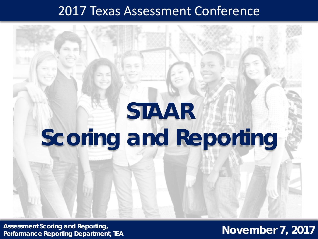## 2017 Texas Assessment Conference

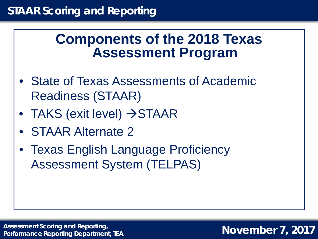## **Components of the 2018 Texas Assessment Program**

- State of Texas Assessments of Academic Readiness (STAAR)
- TAKS (exit level)  $\rightarrow$  STAAR
- STAAR Alternate 2
- Texas English Language Proficiency Assessment System (TELPAS)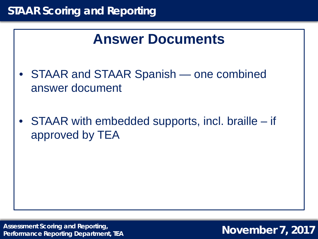## **Answer Documents**

- STAAR and STAAR Spanish one combined answer document
- STAAR with embedded supports, incl. braille if approved by TEA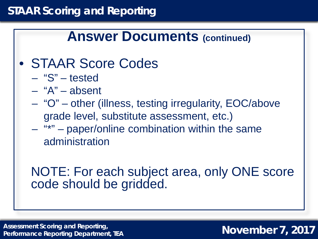## **Answer Documents (continued)**

- STAAR Score Codes
	- "S" tested
	- "A" absent
	- "O" other (illness, testing irregularity, EOC/above grade level, substitute assessment, etc.)
	- "\*" paper/online combination within the same administration

## NOTE: For each subject area, only ONE score code should be gridded.

**Assessment Scoring and Reporting, Performance Reporting Department, TEA**

### **November 7, 2017**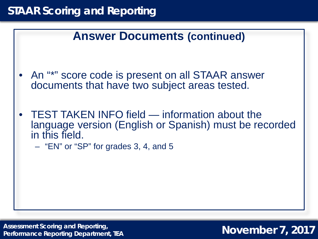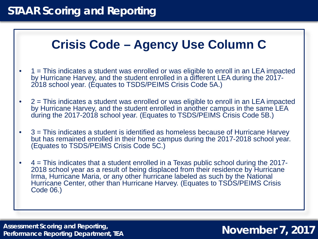## **Crisis Code – Agency Use Column C**

- 1 = This indicates a student was enrolled or was eligible to enroll in an LEA impacted by Hurricane Harvey, and the student enrolled in a different LEA during the 2017- 2018 school year. (Equates to TSDS/PEIMS Crisis Code 5A.)
- $2$  = This indicates a student was enrolled or was eligible to enroll in an LEA impacted by Hurricane Harvey, and the student enrolled in another campus in the same LEA during the 2017-2018 school year. (Equates to TSDS/PEIMS Crisis Code 5B.)
- 3 = This indicates a student is identified as homeless because of Hurricane Harvey but has remained enrolled in their home campus during the 2017-2018 school year. (Equates to TSDS/PEIMS Crisis Code 5C.)
- 4 = This indicates that a student enrolled in a Texas public school during the 2017- 2018 school year as a result of being displaced from their residence by Hurricane Irma, Hurricane Maria, or any other hurricane labeled as such by the National Hurricane Center, other than Hurricane Harvey. (Equates to TSDS/PEIMS Crisis Code 06.)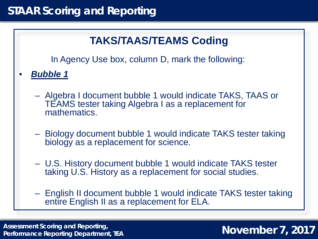## **TAKS/TAAS/TEAMS Coding**

In Agency Use box, column D, mark the following:

• *Bubble 1*

- Algebra I document bubble 1 would indicate TAKS, TAAS or TEAMS tester taking Algebra I as a replacement for mathematics.
- Biology document bubble 1 would indicate TAKS tester taking biology as a replacement for science.
- U.S. History document bubble 1 would indicate TAKS tester taking U.S. History as a replacement for social studies.
- English II document bubble 1 would indicate TAKS tester taking entire English II as a replacement for ELA.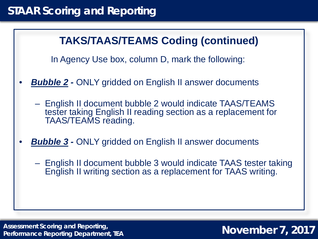### **TAKS/TAAS/TEAMS Coding (continued)**

In Agency Use box, column D, mark the following:

- **Bubble 2 ONLY gridded on English II answer documents** 
	- English II document bubble 2 would indicate TAAS/TEAMS tester taking English II reading section as a replacement for TAAS/TEAMS reading.
- **Bubble 3 ONLY gridded on English II answer documents** 
	- English II document bubble 3 would indicate TAAS tester taking English II writing section as a replacement for TAAS writing.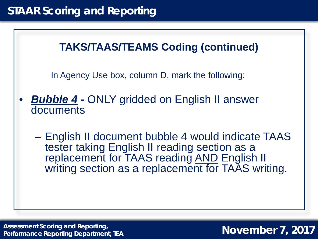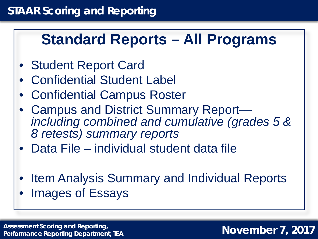# **Standard Reports – All Programs**

- Student Report Card
- Confidential Student Label
- Confidential Campus Roster
- Campus and District Summary Report— *including combined and cumulative (grades 5 & 8 retests) summary reports*
- Data File individual student data file
- Item Analysis Summary and Individual Reports
- Images of Essays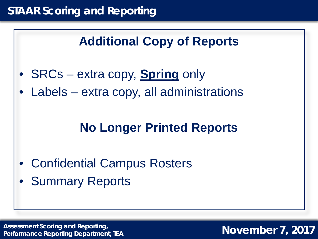## **Additional Copy of Reports**

- SRCs extra copy, **Spring** only
- Labels extra copy, all administrations

## **No Longer Printed Reports**

- Confidential Campus Rosters
- **Summary Reports**

Assessment Scoring and Reporting,<br>Performance Reporting Department TEA **Assessment Department Open Proper November 7, 2017 Performance Reporting Department, TEA**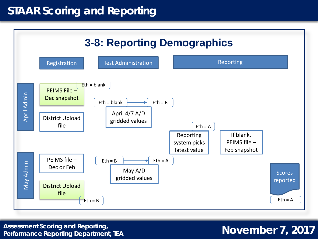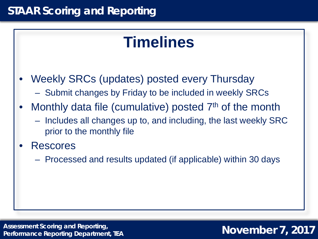# **Timelines**

- Weekly SRCs (updates) posted every Thursday
	- Submit changes by Friday to be included in weekly SRCs
- Monthly data file (cumulative) posted 7<sup>th</sup> of the month
	- Includes all changes up to, and including, the last weekly SRC prior to the monthly file
- **Rescores** 
	- Processed and results updated (if applicable) within 30 days